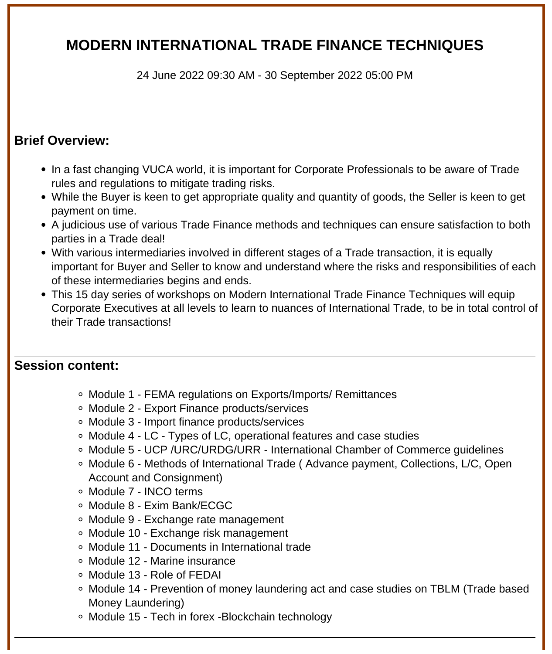# **MODERN INTERNATIONAL TRADE FINANCE TECHNIQUES**

24 June 2022 09:30 AM - 30 September 2022 05:00 PM

#### **Brief Overview:**

- In a fast changing VUCA world, it is important for Corporate Professionals to be aware of Trade rules and regulations to mitigate trading risks.
- While the Buyer is keen to get appropriate quality and quantity of goods, the Seller is keen to get payment on time.
- A judicious use of various Trade Finance methods and techniques can ensure satisfaction to both parties in a Trade deal!
- With various intermediaries involved in different stages of a Trade transaction, it is equally important for Buyer and Seller to know and understand where the risks and responsibilities of each of these intermediaries begins and ends.
- This 15 day series of workshops on Modern International Trade Finance Techniques will equip Corporate Executives at all levels to learn to nuances of International Trade, to be in total control of their Trade transactions!

#### **Session content:**

- Module 1 FEMA regulations on Exports/Imports/ Remittances
- Module 2 Export Finance products/services
- Module 3 Import finance products/services
- Module 4 LC Types of LC, operational features and case studies
- Module 5 UCP /URC/URDG/URR International Chamber of Commerce guidelines
- Module 6 Methods of International Trade ( Advance payment, Collections, L/C, Open Account and Consignment)
- Module 7 INCO terms
- Module 8 Exim Bank/ECGC
- Module 9 Exchange rate management
- Module 10 Exchange risk management
- Module 11 Documents in International trade
- Module 12 Marine insurance
- Module 13 Role of FEDAI
- Module 14 Prevention of money laundering act and case studies on TBLM (Trade based Money Laundering)
- Module 15 Tech in forex -Blockchain technology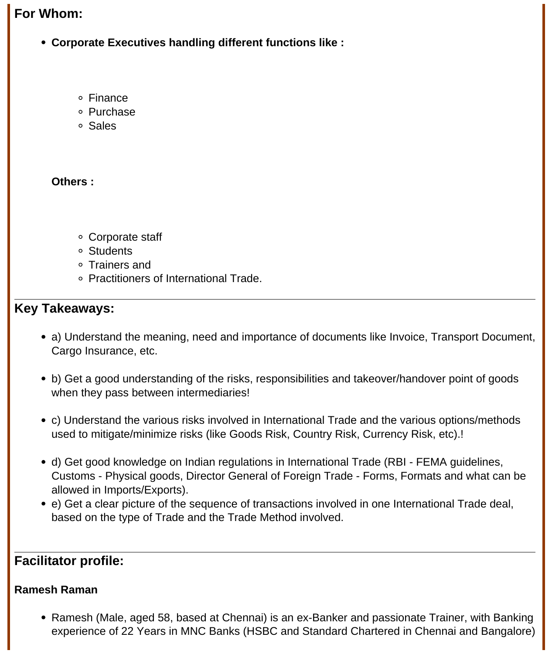#### **For Whom:**

- **Corporate Executives handling different functions like :**
	- Finance
	- Purchase
	- Sales

**Others :**

- Corporate staff
- Students
- Trainers and
- Practitioners of International Trade.

#### **Key Takeaways:**

- a) Understand the meaning, need and importance of documents like Invoice, Transport Document, Cargo Insurance, etc.
- b) Get a good understanding of the risks, responsibilities and takeover/handover point of goods when they pass between intermediaries!
- c) Understand the various risks involved in International Trade and the various options/methods used to mitigate/minimize risks (like Goods Risk, Country Risk, Currency Risk, etc).!
- d) Get good knowledge on Indian regulations in International Trade (RBI FEMA guidelines, Customs - Physical goods, Director General of Foreign Trade - Forms, Formats and what can be allowed in Imports/Exports).
- e) Get a clear picture of the sequence of transactions involved in one International Trade deal, based on the type of Trade and the Trade Method involved.

### **Facilitator profile:**

#### **Ramesh Raman**

• Ramesh (Male, aged 58, based at Chennai) is an ex-Banker and passionate Trainer, with Banking experience of 22 Years in MNC Banks (HSBC and Standard Chartered in Chennai and Bangalore)